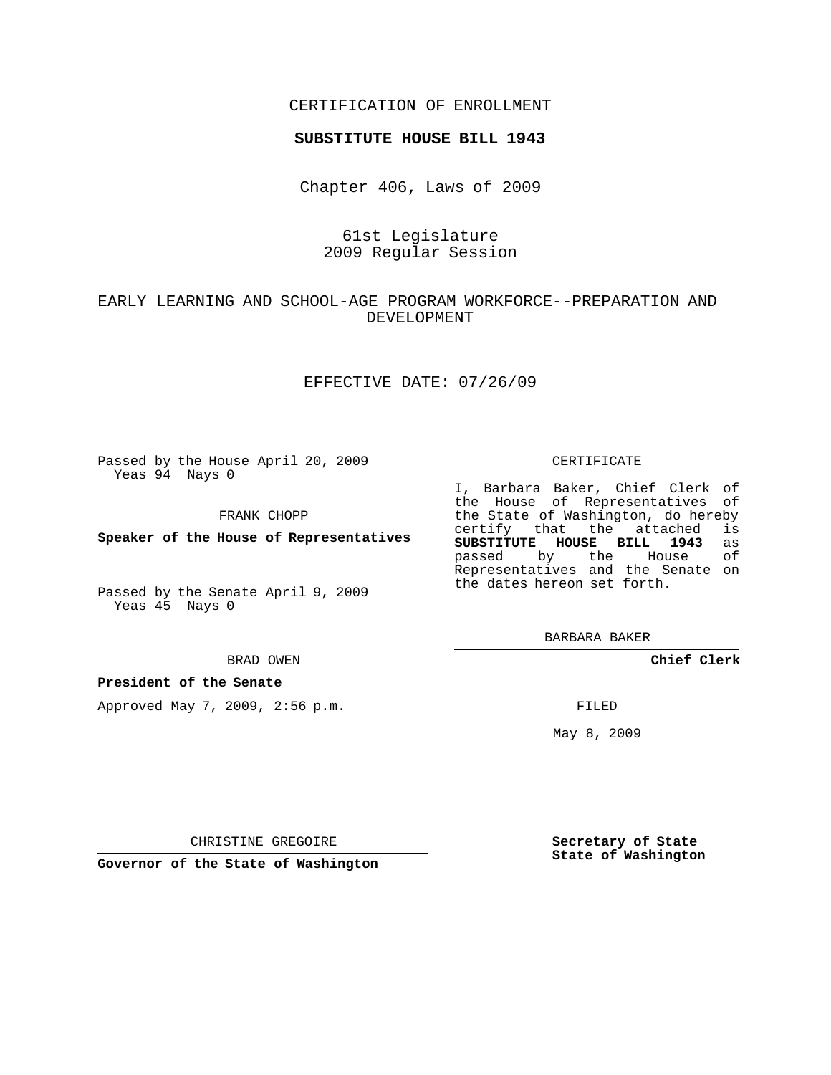## CERTIFICATION OF ENROLLMENT

### **SUBSTITUTE HOUSE BILL 1943**

Chapter 406, Laws of 2009

## 61st Legislature 2009 Regular Session

# EARLY LEARNING AND SCHOOL-AGE PROGRAM WORKFORCE--PREPARATION AND DEVELOPMENT

## EFFECTIVE DATE: 07/26/09

Passed by the House April 20, 2009 Yeas 94 Nays 0

FRANK CHOPP

**Speaker of the House of Representatives**

Passed by the Senate April 9, 2009 Yeas 45 Nays 0

#### BRAD OWEN

#### **President of the Senate**

Approved May 7, 2009, 2:56 p.m.

#### CERTIFICATE

I, Barbara Baker, Chief Clerk of the House of Representatives of the State of Washington, do hereby<br>certify that the attached is certify that the attached **SUBSTITUTE HOUSE BILL 1943** as passed by the House of Representatives and the Senate on the dates hereon set forth.

BARBARA BAKER

**Chief Clerk**

FILED

May 8, 2009

**Secretary of State State of Washington**

CHRISTINE GREGOIRE

**Governor of the State of Washington**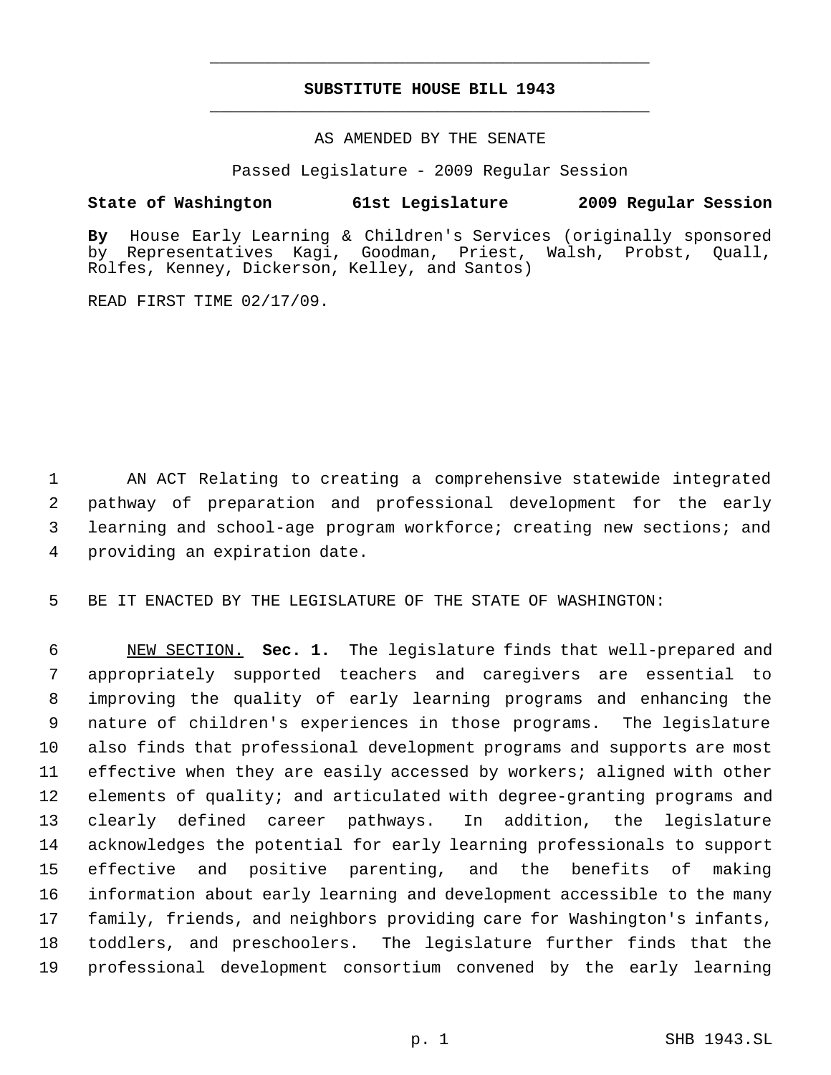# **SUBSTITUTE HOUSE BILL 1943** \_\_\_\_\_\_\_\_\_\_\_\_\_\_\_\_\_\_\_\_\_\_\_\_\_\_\_\_\_\_\_\_\_\_\_\_\_\_\_\_\_\_\_\_\_

\_\_\_\_\_\_\_\_\_\_\_\_\_\_\_\_\_\_\_\_\_\_\_\_\_\_\_\_\_\_\_\_\_\_\_\_\_\_\_\_\_\_\_\_\_

### AS AMENDED BY THE SENATE

Passed Legislature - 2009 Regular Session

# **State of Washington 61st Legislature 2009 Regular Session**

**By** House Early Learning & Children's Services (originally sponsored by Representatives Kagi, Goodman, Priest, Walsh, Probst, Quall, Rolfes, Kenney, Dickerson, Kelley, and Santos)

READ FIRST TIME 02/17/09.

 AN ACT Relating to creating a comprehensive statewide integrated pathway of preparation and professional development for the early learning and school-age program workforce; creating new sections; and providing an expiration date.

BE IT ENACTED BY THE LEGISLATURE OF THE STATE OF WASHINGTON:

 NEW SECTION. **Sec. 1.** The legislature finds that well-prepared and appropriately supported teachers and caregivers are essential to improving the quality of early learning programs and enhancing the nature of children's experiences in those programs. The legislature also finds that professional development programs and supports are most effective when they are easily accessed by workers; aligned with other elements of quality; and articulated with degree-granting programs and clearly defined career pathways. In addition, the legislature acknowledges the potential for early learning professionals to support effective and positive parenting, and the benefits of making information about early learning and development accessible to the many family, friends, and neighbors providing care for Washington's infants, toddlers, and preschoolers. The legislature further finds that the professional development consortium convened by the early learning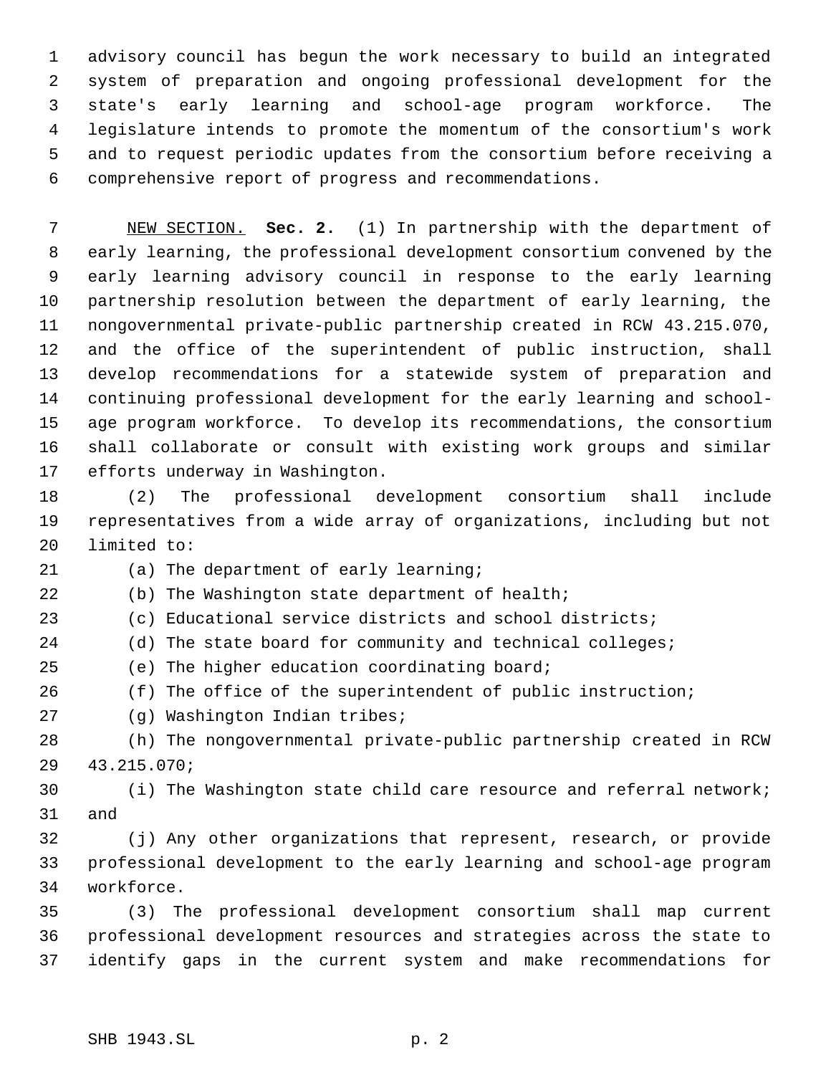advisory council has begun the work necessary to build an integrated system of preparation and ongoing professional development for the state's early learning and school-age program workforce. The legislature intends to promote the momentum of the consortium's work and to request periodic updates from the consortium before receiving a comprehensive report of progress and recommendations.

 NEW SECTION. **Sec. 2.** (1) In partnership with the department of early learning, the professional development consortium convened by the early learning advisory council in response to the early learning partnership resolution between the department of early learning, the nongovernmental private-public partnership created in RCW 43.215.070, and the office of the superintendent of public instruction, shall develop recommendations for a statewide system of preparation and continuing professional development for the early learning and school- age program workforce. To develop its recommendations, the consortium shall collaborate or consult with existing work groups and similar efforts underway in Washington.

 (2) The professional development consortium shall include representatives from a wide array of organizations, including but not limited to:

(a) The department of early learning;

(b) The Washington state department of health;

(c) Educational service districts and school districts;

24 (d) The state board for community and technical colleges;

(e) The higher education coordinating board;

(f) The office of the superintendent of public instruction;

(g) Washington Indian tribes;

 (h) The nongovernmental private-public partnership created in RCW 43.215.070;

 (i) The Washington state child care resource and referral network; and

 (j) Any other organizations that represent, research, or provide professional development to the early learning and school-age program workforce.

 (3) The professional development consortium shall map current professional development resources and strategies across the state to identify gaps in the current system and make recommendations for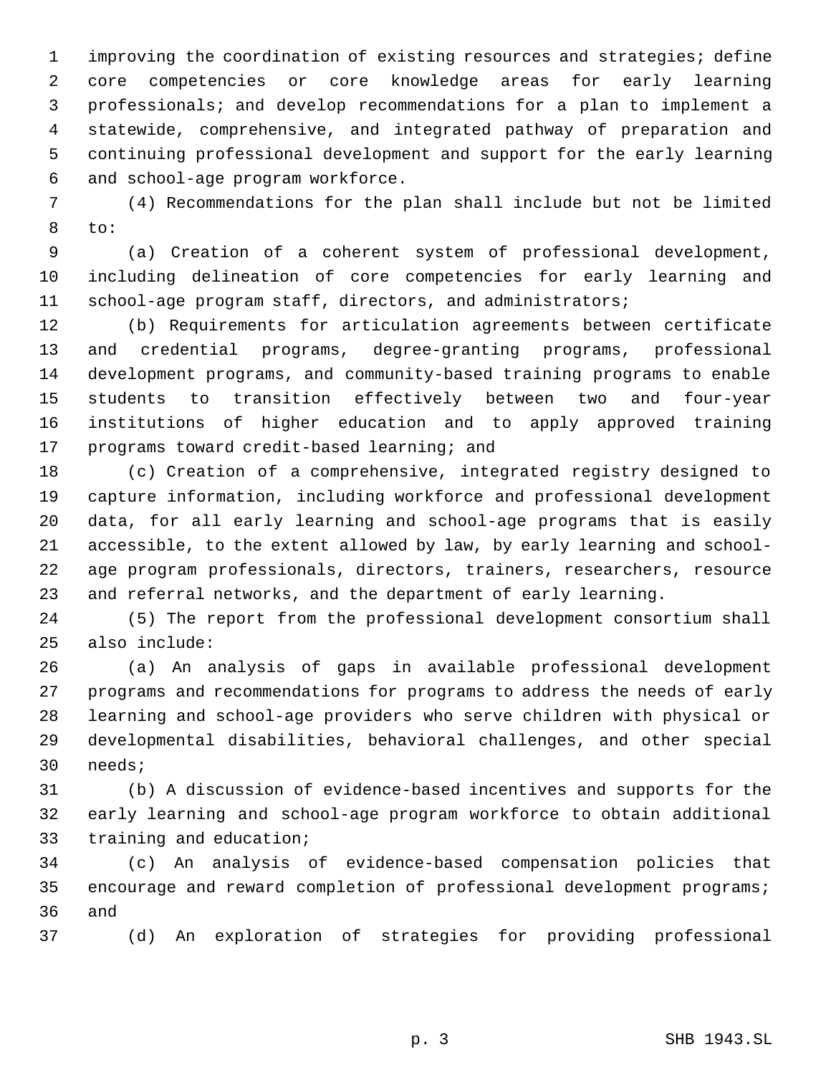improving the coordination of existing resources and strategies; define core competencies or core knowledge areas for early learning professionals; and develop recommendations for a plan to implement a statewide, comprehensive, and integrated pathway of preparation and continuing professional development and support for the early learning and school-age program workforce.

 (4) Recommendations for the plan shall include but not be limited to:

 (a) Creation of a coherent system of professional development, including delineation of core competencies for early learning and school-age program staff, directors, and administrators;

 (b) Requirements for articulation agreements between certificate and credential programs, degree-granting programs, professional development programs, and community-based training programs to enable students to transition effectively between two and four-year institutions of higher education and to apply approved training programs toward credit-based learning; and

 (c) Creation of a comprehensive, integrated registry designed to capture information, including workforce and professional development data, for all early learning and school-age programs that is easily accessible, to the extent allowed by law, by early learning and school- age program professionals, directors, trainers, researchers, resource and referral networks, and the department of early learning.

 (5) The report from the professional development consortium shall also include:

 (a) An analysis of gaps in available professional development programs and recommendations for programs to address the needs of early learning and school-age providers who serve children with physical or developmental disabilities, behavioral challenges, and other special needs;

 (b) A discussion of evidence-based incentives and supports for the early learning and school-age program workforce to obtain additional training and education;

 (c) An analysis of evidence-based compensation policies that encourage and reward completion of professional development programs; and

(d) An exploration of strategies for providing professional